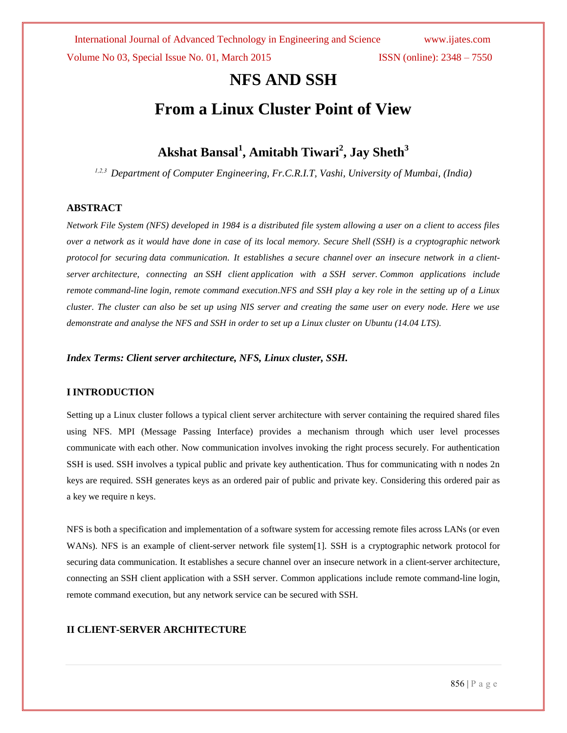Volume No 03, Special Issue No. 01, March 2015 ISSN (online): 2348 – 7550

# **NFS AND SSH**

# **From a Linux Cluster Point of View**

# **Akshat Bansal<sup>1</sup> , Amitabh Tiwari<sup>2</sup> , Jay Sheth<sup>3</sup>**

*1,2,3 Department of Computer Engineering, Fr.C.R.I.T, Vashi, University of Mumbai, (India)*

# **ABSTRACT**

*Network File System (NFS) developed in 1984 is a distributed file system allowing a user on a client to access files over a network as it would have done in case of its local memory. Secure Shell (SSH) is a cryptographic [network](http://en.wikipedia.org/wiki/Network_protocol)  [protocol](http://en.wikipedia.org/wiki/Network_protocol) for securing [data communication.](http://en.wikipedia.org/wiki/Data_communication) It establishes a [secure channel](http://en.wikipedia.org/wiki/Secure_channel) over an insecure network in a [client](http://en.wikipedia.org/wiki/Client-server)[server](http://en.wikipedia.org/wiki/Client-server) architecture, connecting an [SSH client](http://en.wikipedia.org/wiki/SSH_client) application with a [SSH server.](http://en.wikipedia.org/wiki/SSH_server) Common applications include remote [command-line](http://en.wikipedia.org/wiki/Command-line_interface) [login,](http://en.wikipedia.org/wiki/Login) remote command execution.NFS and SSH play a key role in the setting up of a Linux cluster. The cluster can also be set up using NIS server and creating the same user on every node. Here we use demonstrate and analyse the NFS and SSH in order to set up a Linux cluster on Ubuntu (14.04 LTS).*

*Index Terms: Client server architecture, NFS, Linux cluster, SSH.*

# **I INTRODUCTION**

Setting up a Linux cluster follows a typical client server architecture with server containing the required shared files using NFS. MPI (Message Passing Interface) provides a mechanism through which user level processes communicate with each other. Now communication involves invoking the right process securely. For authentication SSH is used. SSH involves a typical public and private key authentication. Thus for communicating with n nodes 2n keys are required. SSH generates keys as an ordered pair of public and private key. Considering this ordered pair as a key we require n keys.

NFS is both a specification and implementation of a software system for accessing remote files across LANs (or even WANs). NFS is an example of client-server network file system[1]. SSH is a cryptographic [network protocol](http://en.wikipedia.org/wiki/Network_protocol) for securing [data communication.](http://en.wikipedia.org/wiki/Data_communication) It establishes a [secure channel](http://en.wikipedia.org/wiki/Secure_channel) over an insecure network in a [client-server](http://en.wikipedia.org/wiki/Client-server) architecture, connecting an [SSH client](http://en.wikipedia.org/wiki/SSH_client) application with a [SSH server.](http://en.wikipedia.org/wiki/SSH_server) Common applications include remote [command-line](http://en.wikipedia.org/wiki/Command-line_interface) [login,](http://en.wikipedia.org/wiki/Login) remote command execution, but any [network service](http://en.wikipedia.org/wiki/Network_service) can be secured with SSH.

# **II CLIENT-SERVER ARCHITECTURE**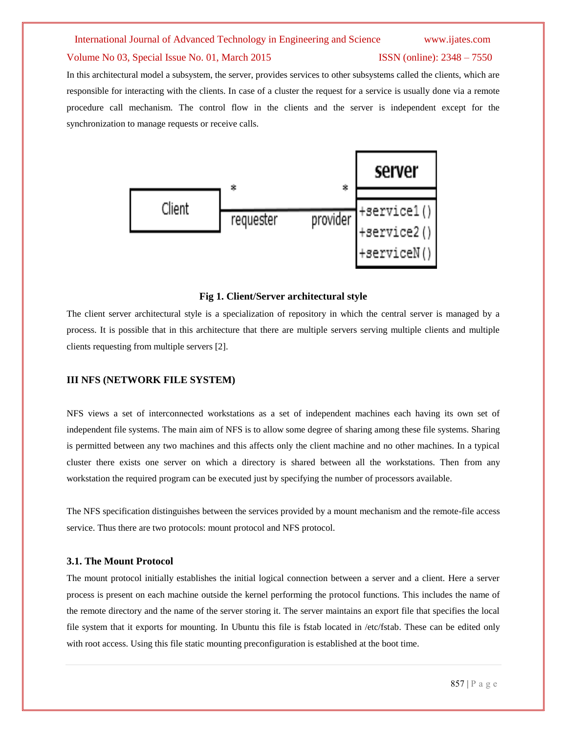#### Volume No 03, Special Issue No. 01, March 2015 **ISSN** (online): 2348 – 7550

In this architectural model a subsystem, the server, provides services to other subsystems called the clients, which are responsible for interacting with the clients. In case of a cluster the request for a service is usually done via a remote procedure call mechanism. The control flow in the clients and the server is independent except for the synchronization to manage requests or receive calls.



#### **Fig 1. Client/Server architectural style**

The client server architectural style is a specialization of repository in which the central server is managed by a process. It is possible that in this architecture that there are multiple servers serving multiple clients and multiple clients requesting from multiple servers [2].

# **III NFS (NETWORK FILE SYSTEM)**

NFS views a set of interconnected workstations as a set of independent machines each having its own set of independent file systems. The main aim of NFS is to allow some degree of sharing among these file systems. Sharing is permitted between any two machines and this affects only the client machine and no other machines. In a typical cluster there exists one server on which a directory is shared between all the workstations. Then from any workstation the required program can be executed just by specifying the number of processors available.

The NFS specification distinguishes between the services provided by a mount mechanism and the remote-file access service. Thus there are two protocols: mount protocol and NFS protocol.

#### **3.1. The Mount Protocol**

The mount protocol initially establishes the initial logical connection between a server and a client. Here a server process is present on each machine outside the kernel performing the protocol functions. This includes the name of the remote directory and the name of the server storing it. The server maintains an export file that specifies the local file system that it exports for mounting. In Ubuntu this file is fstab located in /etc/fstab. These can be edited only with root access. Using this file static mounting preconfiguration is established at the boot time.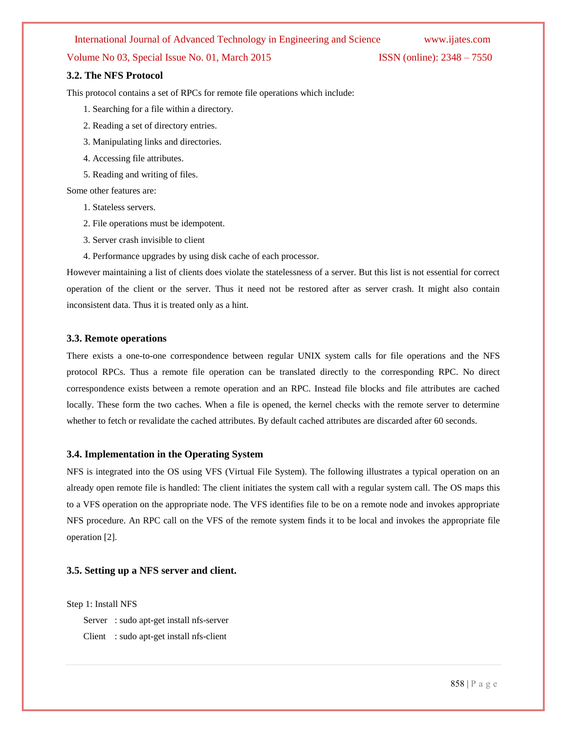# Volume No 03, Special Issue No. 01, March 2015 **ISSN** (online): 2348 – 7550

### **3.2. The NFS Protocol**

This protocol contains a set of RPCs for remote file operations which include:

- 1. Searching for a file within a directory.
- 2. Reading a set of directory entries.
- 3. Manipulating links and directories.
- 4. Accessing file attributes.
- 5. Reading and writing of files.
- Some other features are:
	- 1. Stateless servers.
	- 2. File operations must be idempotent.
	- 3. Server crash invisible to client
	- 4. Performance upgrades by using disk cache of each processor.

However maintaining a list of clients does violate the statelessness of a server. But this list is not essential for correct operation of the client or the server. Thus it need not be restored after as server crash. It might also contain inconsistent data. Thus it is treated only as a hint.

### **3.3. Remote operations**

There exists a one-to-one correspondence between regular UNIX system calls for file operations and the NFS protocol RPCs. Thus a remote file operation can be translated directly to the corresponding RPC. No direct correspondence exists between a remote operation and an RPC. Instead file blocks and file attributes are cached locally. These form the two caches. When a file is opened, the kernel checks with the remote server to determine whether to fetch or revalidate the cached attributes. By default cached attributes are discarded after 60 seconds.

#### **3.4. Implementation in the Operating System**

NFS is integrated into the OS using VFS (Virtual File System). The following illustrates a typical operation on an already open remote file is handled: The client initiates the system call with a regular system call. The OS maps this to a VFS operation on the appropriate node. The VFS identifies file to be on a remote node and invokes appropriate NFS procedure. An RPC call on the VFS of the remote system finds it to be local and invokes the appropriate file operation [2].

### **3.5. Setting up a NFS server and client.**

Step 1: Install NFS

Server : sudo apt-get install nfs-server Client : sudo apt-get install nfs-client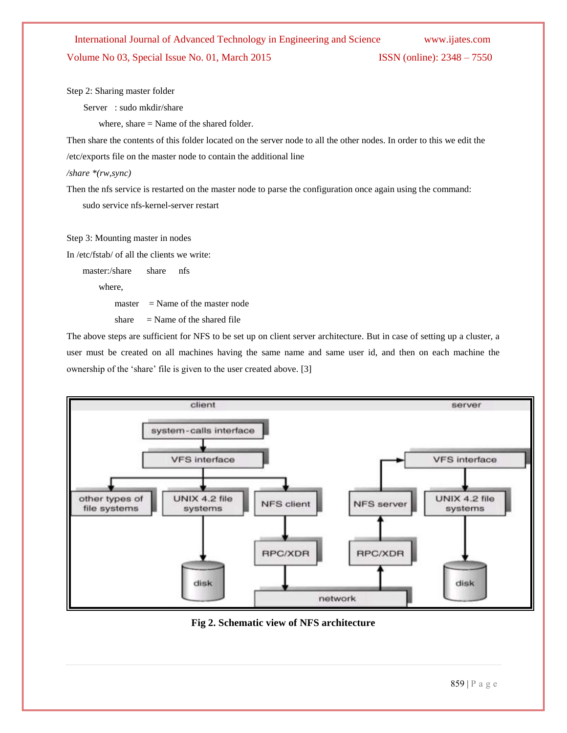# International Journal of Advanced Technology in Engineering and Science www.ijates.com Volume No 03, Special Issue No. 01, March 2015 **ISSN** (online): 2348 – 7550

Step 2: Sharing master folder

Server : sudo mkdir/share

where, share  $=$  Name of the shared folder.

Then share the contents of this folder located on the server node to all the other nodes. In order to this we edit the

/etc/exports file on the master node to contain the additional line

*/share \*(rw,sync)*

Then the nfs service is restarted on the master node to parse the configuration once again using the command:

sudo service nfs-kernel-server restart

Step 3: Mounting master in nodes

In /etc/fstab/ of all the clients we write:

master:/share share nfs

where,

 $master = Name of the master node$ 

share  $=$  Name of the shared file

The above steps are sufficient for NFS to be set up on client server architecture. But in case of setting up a cluster, a user must be created on all machines having the same name and same user id, and then on each machine the ownership of the 'share' file is given to the user created above. [3]



**Fig 2. Schematic view of NFS architecture**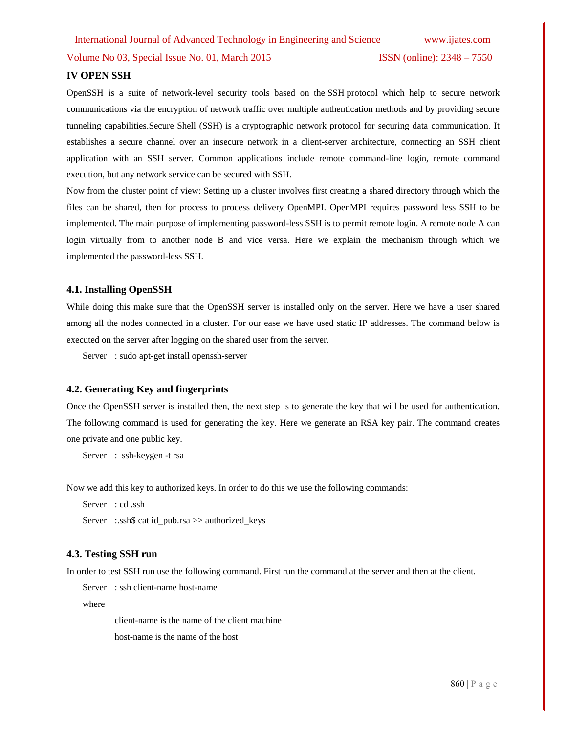International Journal of Advanced Technology in Engineering and Science www.ijates.com Volume No 03, Special Issue No. 01, March 2015 **ISSN** (online): 2348 – 7550

# **IV OPEN SSH**

OpenSSH is a suite of network-level security tools based on the [SSH](http://en.wikipedia.org/wiki/SSH) protocol which help to secure network communications via the encryption of network traffic over multiple authentication methods and by providing secure tunneling capabilities.Secure Shell (SSH) is a cryptographic network protocol for securing data communication. It establishes a secure channel over an insecure network in a client-server architecture, connecting an SSH client application with an SSH server. Common applications include remote command-line login, remote command execution, but any network service can be secured with SSH.

Now from the cluster point of view: Setting up a cluster involves first creating a shared directory through which the files can be shared, then for process to process delivery OpenMPI. OpenMPI requires password less SSH to be implemented. The main purpose of implementing password-less SSH is to permit remote login. A remote node A can login virtually from to another node B and vice versa. Here we explain the mechanism through which we implemented the password-less SSH.

# **4.1. Installing OpenSSH**

While doing this make sure that the OpenSSH server is installed only on the server. Here we have a user shared among all the nodes connected in a cluster. For our ease we have used static IP addresses. The command below is executed on the server after logging on the shared user from the server.

Server : sudo apt-get install openssh-server

## **4.2. Generating Key and fingerprints**

Once the OpenSSH server is installed then, the next step is to generate the key that will be used for authentication. The following command is used for generating the key. Here we generate an RSA key pair. The command creates one private and one public key.

Server : ssh-keygen -t rsa

Now we add this key to authorized keys. In order to do this we use the following commands:

```
Server : cd .ssh
Server :.ssh$ cat id_pub.rsa >> authorized keys
```
## **4.3. Testing SSH run**

In order to test SSH run use the following command. First run the command at the server and then at the client.

Server : ssh client-name host-name

where

client-name is the name of the client machine

host-name is the name of the host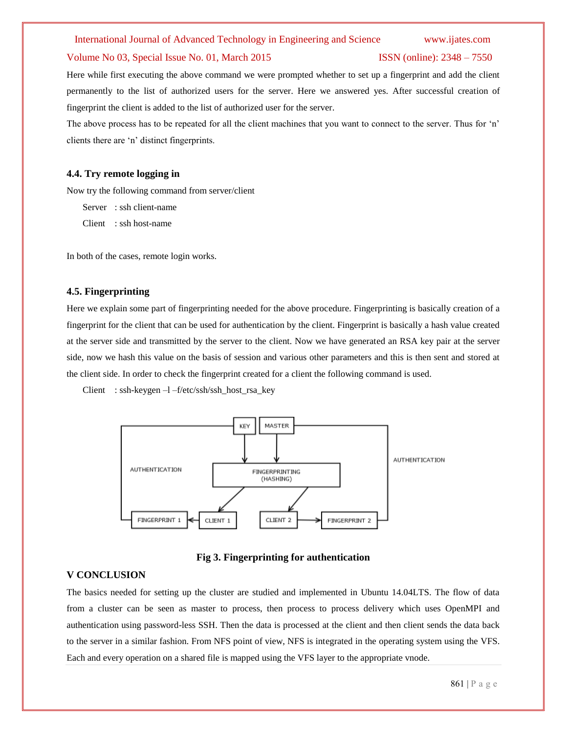#### Volume No 03, Special Issue No. 01, March 2015 **ISSN** (online): 2348 – 7550

Here while first executing the above command we were prompted whether to set up a fingerprint and add the client permanently to the list of authorized users for the server. Here we answered yes. After successful creation of fingerprint the client is added to the list of authorized user for the server.

The above process has to be repeated for all the client machines that you want to connect to the server. Thus for 'n' clients there are "n" distinct fingerprints.

## **4.4. Try remote logging in**

Now try the following command from server/client

Server : ssh client-name Client : ssh host-name

In both of the cases, remote login works.

### **4.5. Fingerprinting**

Here we explain some part of fingerprinting needed for the above procedure. Fingerprinting is basically creation of a fingerprint for the client that can be used for authentication by the client. Fingerprint is basically a hash value created at the server side and transmitted by the server to the client. Now we have generated an RSA key pair at the server side, now we hash this value on the basis of session and various other parameters and this is then sent and stored at the client side. In order to check the fingerprint created for a client the following command is used.

Client : ssh-keygen –l –f/etc/ssh/ssh\_host\_rsa\_key



**Fig 3. Fingerprinting for authentication**

# **V CONCLUSION**

The basics needed for setting up the cluster are studied and implemented in Ubuntu 14.04LTS. The flow of data from a cluster can be seen as master to process, then process to process delivery which uses OpenMPI and authentication using password-less SSH. Then the data is processed at the client and then client sends the data back to the server in a similar fashion. From NFS point of view, NFS is integrated in the operating system using the VFS. Each and every operation on a shared file is mapped using the VFS layer to the appropriate vnode.